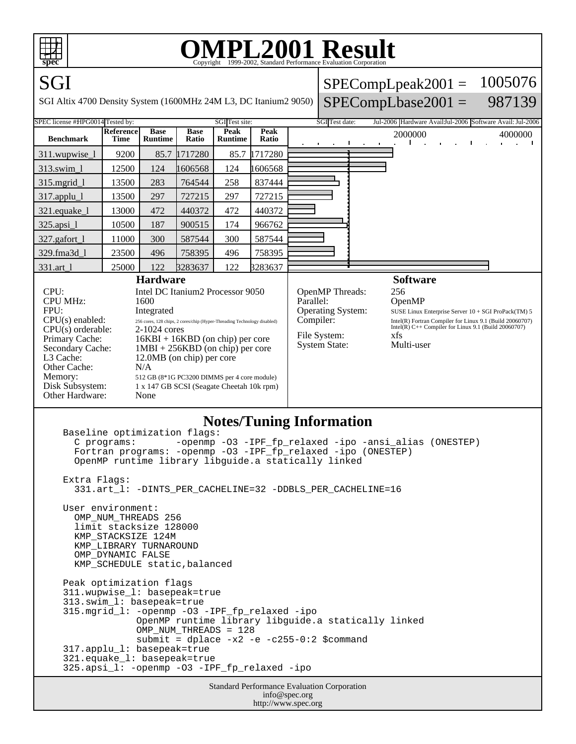

## OMPL2001 Resultation Corporation

| $\mathbf{P}$                                                                                                                                                                                                                                                                                                                                                                                                                                                                                                                                                                                      |                                 |                               |                      |                        | Copyright ⊗1999-2002, Standard I Criormance Evanuation Corporation |                                                                                                                                                                                                                                                                                                                                                     |  |  |         |  |  |         |  |
|---------------------------------------------------------------------------------------------------------------------------------------------------------------------------------------------------------------------------------------------------------------------------------------------------------------------------------------------------------------------------------------------------------------------------------------------------------------------------------------------------------------------------------------------------------------------------------------------------|---------------------------------|-------------------------------|----------------------|------------------------|--------------------------------------------------------------------|-----------------------------------------------------------------------------------------------------------------------------------------------------------------------------------------------------------------------------------------------------------------------------------------------------------------------------------------------------|--|--|---------|--|--|---------|--|
| SGI                                                                                                                                                                                                                                                                                                                                                                                                                                                                                                                                                                                               | 1005076<br>$SPECompLpeak2001 =$ |                               |                      |                        |                                                                    |                                                                                                                                                                                                                                                                                                                                                     |  |  |         |  |  |         |  |
| 987139<br>$SPECompLbase2001 =$<br>SGI Altix 4700 Density System (1600MHz 24M L3, DC Itanium2 9050)                                                                                                                                                                                                                                                                                                                                                                                                                                                                                                |                                 |                               |                      |                        |                                                                    |                                                                                                                                                                                                                                                                                                                                                     |  |  |         |  |  |         |  |
| SPEC license #HPG0014 Tested by:<br>SGI Test site:<br>SGI Test date:<br>Jul-2006 Hardware AvailJul-2006 Software Avail: Jul-2006                                                                                                                                                                                                                                                                                                                                                                                                                                                                  |                                 |                               |                      |                        |                                                                    |                                                                                                                                                                                                                                                                                                                                                     |  |  |         |  |  |         |  |
| <b>Benchmark</b>                                                                                                                                                                                                                                                                                                                                                                                                                                                                                                                                                                                  | <b>Reference</b><br>Time        | <b>Base</b><br><b>Runtime</b> | <b>Base</b><br>Ratio | Peak<br><b>Runtime</b> | Peak<br>Ratio                                                      |                                                                                                                                                                                                                                                                                                                                                     |  |  | 2000000 |  |  | 4000000 |  |
| 311.wupwise_l                                                                                                                                                                                                                                                                                                                                                                                                                                                                                                                                                                                     | 9200                            | 85.7                          | 1717280              | 85.7                   | 1717280                                                            |                                                                                                                                                                                                                                                                                                                                                     |  |  |         |  |  |         |  |
| 313.swim_1                                                                                                                                                                                                                                                                                                                                                                                                                                                                                                                                                                                        | 12500                           | 124                           | 1606568              | 124                    | 1606568                                                            |                                                                                                                                                                                                                                                                                                                                                     |  |  |         |  |  |         |  |
| $315$ .mgrid $1$                                                                                                                                                                                                                                                                                                                                                                                                                                                                                                                                                                                  | 13500                           | 283                           | 764544               | 258                    | 837444                                                             |                                                                                                                                                                                                                                                                                                                                                     |  |  |         |  |  |         |  |
| 317.applu_l                                                                                                                                                                                                                                                                                                                                                                                                                                                                                                                                                                                       | 13500                           | 297                           | 727215               | 297                    | 727215                                                             |                                                                                                                                                                                                                                                                                                                                                     |  |  |         |  |  |         |  |
| 321.equake_l                                                                                                                                                                                                                                                                                                                                                                                                                                                                                                                                                                                      | 13000                           | 472                           | 440372               | 472                    | 440372                                                             |                                                                                                                                                                                                                                                                                                                                                     |  |  |         |  |  |         |  |
| $325.\text{apsi}\_1$                                                                                                                                                                                                                                                                                                                                                                                                                                                                                                                                                                              | 10500                           | 187                           | 900515               | 174                    | 966762                                                             |                                                                                                                                                                                                                                                                                                                                                     |  |  |         |  |  |         |  |
| 327.gafort_1                                                                                                                                                                                                                                                                                                                                                                                                                                                                                                                                                                                      | 11000                           | 300                           | 587544               | 300                    | 587544                                                             |                                                                                                                                                                                                                                                                                                                                                     |  |  |         |  |  |         |  |
| 329.fma3d 1                                                                                                                                                                                                                                                                                                                                                                                                                                                                                                                                                                                       | 23500                           | 496                           | 758395               | 496                    | 758395                                                             |                                                                                                                                                                                                                                                                                                                                                     |  |  |         |  |  |         |  |
| 331.art_l                                                                                                                                                                                                                                                                                                                                                                                                                                                                                                                                                                                         | 25000                           | 122                           | 3283637              | 122                    | 3283637                                                            |                                                                                                                                                                                                                                                                                                                                                     |  |  |         |  |  |         |  |
| <b>Hardware</b><br>CPU:<br>Intel DC Itanium2 Processor 9050<br><b>CPU MHz:</b><br>1600<br>FPU:<br>Integrated<br>CPU(s) enabled:<br>$256$ cores, $128$ chips, $2$ cores/chip (Hyper-Threading Technology disabled)<br>CPU(s) orderable:<br>$2-1024$ cores<br>Primary Cache:<br>$16KBI + 16KBD$ (on chip) per core<br>$1MBI + 256KBD$ (on chip) per core<br>Secondary Cache:<br>L3 Cache:<br>12.0MB (on chip) per core<br>Other Cache:<br>N/A<br>Memory:<br>512 GB (8*1G PC3200 DIMMS per 4 core module)<br>Disk Subsystem:<br>1 x 147 GB SCSI (Seagate Cheetah 10k rpm)<br>Other Hardware:<br>None |                                 |                               |                      |                        |                                                                    | <b>Software</b><br>OpenMP Threads:<br>256<br>Parallel:<br>OpenMP<br><b>Operating System:</b><br>SUSE Linux Enterprise Server 10 + SGI ProPack(TM) 5<br>Compiler:<br>Intel(R) Fortran Compiler for Linux 9.1 (Build 20060707)<br>Intel(R) $C++$ Compiler for Linux 9.1 (Build 20060707)<br>File System:<br>xfs<br><b>System State:</b><br>Multi-user |  |  |         |  |  |         |  |
| <b>Notes/Tuning Information</b><br>Baseline optimization flags:<br>-openmp -03 -IPF_fp_relaxed -ipo -ansi_alias (ONESTEP)<br>C programs:<br>Fortran programs: -openmp -03 -IPF fp relaxed -ipo (ONESTEP)<br>OpenMP runtime library libguide.a statically linked<br>Extra Flags:<br>331.art_1: -DINTS_PER_CACHELINE=32 -DDBLS_PER_CACHELINE=16<br>User environment:<br>OMP NUM THREADS 256<br>limit stacksize 128000<br>KMP_STACKSIZE 124M<br>KMP LIBRARY TURNAROUND<br>OMP DYNAMIC FALSE<br>KMP_SCHEDULE static, balanced                                                                         |                                 |                               |                      |                        |                                                                    |                                                                                                                                                                                                                                                                                                                                                     |  |  |         |  |  |         |  |
| Peak optimization flags<br>311.wupwise_1: basepeak=true<br>313.swim_1: basepeak=true<br>315.mgrid_l: -openmp -03 -IPF_fp_relaxed -ipo<br>OpenMP runtime library libguide.a statically linked<br>OMP NUM THREADS = 128<br>submit = dplace $-x2$ -e -c255-0:2 \$command<br>317.applu_1: basepeak=true                                                                                                                                                                                                                                                                                               |                                 |                               |                      |                        |                                                                    |                                                                                                                                                                                                                                                                                                                                                     |  |  |         |  |  |         |  |

```
 321.equake_l: basepeak=true
```
325.apsi\_l: -openmp -O3 -IPF\_fp\_relaxed -ipo

Standard Performance Evaluation Corporation info@spec.org http://www.spec.org